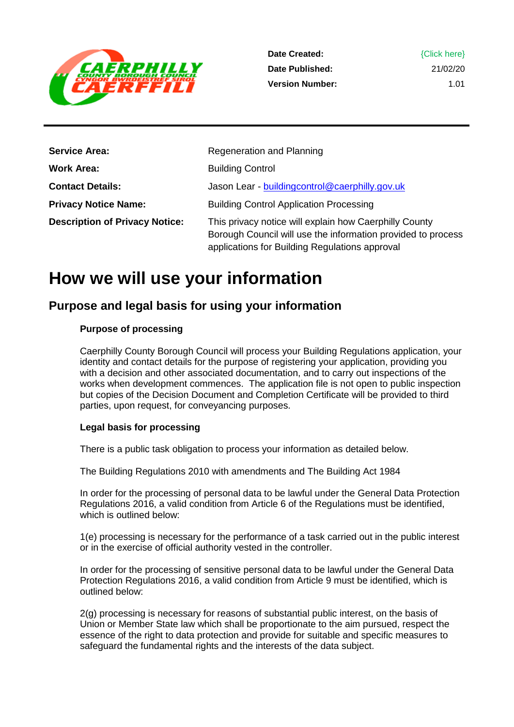

1.01

| <b>Service Area:</b>                  | Regeneration and Planning                                                                                                                                                |
|---------------------------------------|--------------------------------------------------------------------------------------------------------------------------------------------------------------------------|
| Work Area:                            | <b>Building Control</b>                                                                                                                                                  |
| <b>Contact Details:</b>               | Jason Lear - buildingcontrol@caerphilly.gov.uk                                                                                                                           |
| <b>Privacy Notice Name:</b>           | <b>Building Control Application Processing</b>                                                                                                                           |
| <b>Description of Privacy Notice:</b> | This privacy notice will explain how Caerphilly County<br>Borough Council will use the information provided to process<br>applications for Building Regulations approval |

# **How we will use your information**

## **Purpose and legal basis for using your information**

#### **Purpose of processing**

Caerphilly County Borough Council will process your Building Regulations application, your identity and contact details for the purpose of registering your application, providing you with a decision and other associated documentation, and to carry out inspections of the works when development commences. The application file is not open to public inspection but copies of the Decision Document and Completion Certificate will be provided to third parties, upon request, for conveyancing purposes.

#### **Legal basis for processing**

There is a public task obligation to process your information as detailed below.

The Building Regulations 2010 with amendments and The Building Act 1984

In order for the processing of personal data to be lawful under the General Data Protection Regulations 2016, a valid condition from Article 6 of the Regulations must be identified, which is outlined below:

1(e) processing is necessary for the performance of a task carried out in the public interest or in the exercise of official authority vested in the controller.

In order for the processing of sensitive personal data to be lawful under the General Data Protection Regulations 2016, a valid condition from Article 9 must be identified, which is outlined below:

2(g) processing is necessary for reasons of substantial public interest, on the basis of Union or Member State law which shall be proportionate to the aim pursued, respect the essence of the right to data protection and provide for suitable and specific measures to safeguard the fundamental rights and the interests of the data subject.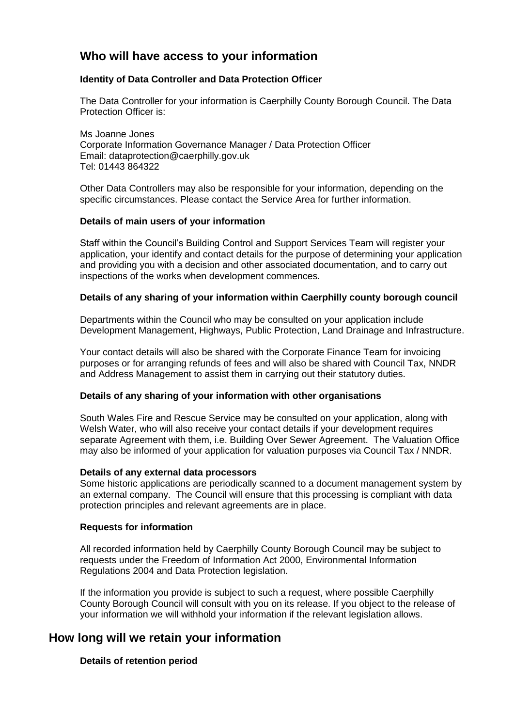## **Who will have access to your information**

#### **Identity of Data Controller and Data Protection Officer**

The Data Controller for your information is Caerphilly County Borough Council. The Data Protection Officer is:

Ms Joanne Jones Corporate Information Governance Manager / Data Protection Officer Email: dataprotection@caerphilly.gov.uk Tel: 01443 864322

Other Data Controllers may also be responsible for your information, depending on the specific circumstances. Please contact the Service Area for further information.

#### **Details of main users of your information**

Staff within the Council's Building Control and Support Services Team will register your application, your identify and contact details for the purpose of determining your application and providing you with a decision and other associated documentation, and to carry out inspections of the works when development commences.

#### **Details of any sharing of your information within Caerphilly county borough council**

Departments within the Council who may be consulted on your application include Development Management, Highways, Public Protection, Land Drainage and Infrastructure.

Your contact details will also be shared with the Corporate Finance Team for invoicing purposes or for arranging refunds of fees and will also be shared with Council Tax, NNDR and Address Management to assist them in carrying out their statutory duties.

#### **Details of any sharing of your information with other organisations**

South Wales Fire and Rescue Service may be consulted on your application, along with Welsh Water, who will also receive your contact details if your development requires separate Agreement with them, i.e. Building Over Sewer Agreement. The Valuation Office may also be informed of your application for valuation purposes via Council Tax / NNDR.

#### **Details of any external data processors**

Some historic applications are periodically scanned to a document management system by an external company. The Council will ensure that this processing is compliant with data protection principles and relevant agreements are in place.

#### **Requests for information**

All recorded information held by Caerphilly County Borough Council may be subject to requests under the Freedom of Information Act 2000, Environmental Information Regulations 2004 and Data Protection legislation.

If the information you provide is subject to such a request, where possible Caerphilly County Borough Council will consult with you on its release. If you object to the release of your information we will withhold your information if the relevant legislation allows.

### **How long will we retain your information**

#### **Details of retention period**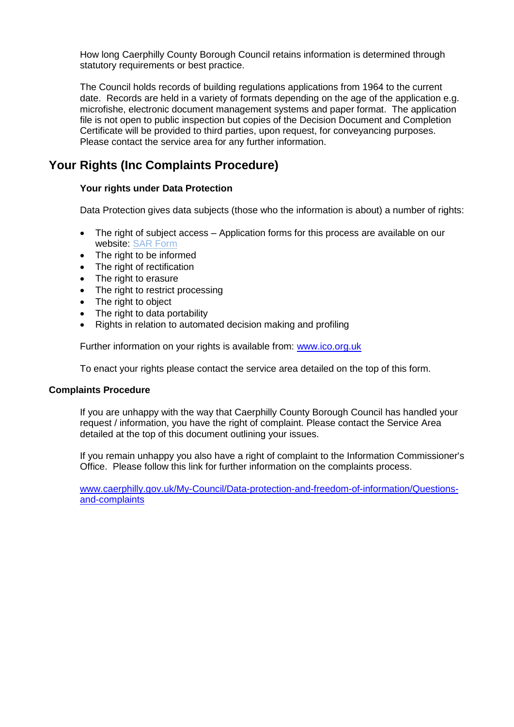How long Caerphilly County Borough Council retains information is determined through statutory requirements or best practice.

The Council holds records of building regulations applications from 1964 to the current date. Records are held in a variety of formats depending on the age of the application e.g. microfishe, electronic document management systems and paper format. The application file is not open to public inspection but copies of the Decision Document and Completion Certificate will be provided to third parties, upon request, for conveyancing purposes. Please contact the service area for any further information.

## **Your Rights (Inc Complaints Procedure)**

#### **Your rights under Data Protection**

Data Protection gives data subjects (those who the information is about) a number of rights:

- The right of subject access Application forms for this process are available on our website: SAR Form
- The right to be informed
- The right of rectification
- The right to erasure
- The right to restrict processing
- The right to object
- The right to data portability
- Rights in relation to automated decision making and profiling

Further information on your rights is available from: www.jco.org.uk

To enact your rights please contact the service area detailed on the top of this form.

#### **Complaints Procedure**

If you are unhappy with the way that Caerphilly County Borough Council has handled your request / information, you have the right of complaint. Please contact the Service Area detailed at the top of this document outlining your issues.

If you remain unhappy you also have a right of complaint to the Information Commissioner's Office. Please follow this link for further information on the complaints process.

[www.caerphilly.gov.uk/My-Council/Data-protection-and-freedom-of-information/Questions](http://www.caerphilly.gov.uk/My-Council/Data-protection-and-freedom-of-information/Questions-and-complaints)[and-complaints](http://www.caerphilly.gov.uk/My-Council/Data-protection-and-freedom-of-information/Questions-and-complaints)